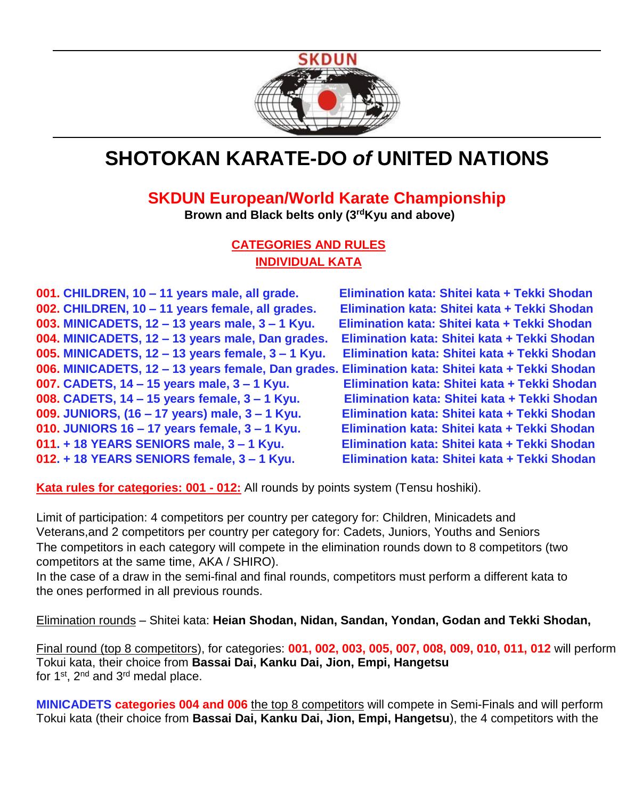

# **SHOTOKAN KARATE-DO** *of* **UNITED NATIONS**

# **SKDUN European/World Karate Championship**

 **Brown and Black belts only (3rdKyu and above)**

### **CATEGORIES AND RULES INDIVIDUAL KATA**

**001. CHILDREN, 10 – 11 years male, all grade. Elimination kata: Shitei kata + Tekki Shodan 002. CHILDREN, 10 – 11 years female, all grades. Elimination kata: Shitei kata + Tekki Shodan 003. MINICADETS, 12 – 13 years male, 3 – 1 Kyu. Elimination kata: Shitei kata + Tekki Shodan 004. MINICADETS, 12 – 13 years male, Dan grades. Elimination kata: Shitei kata + Tekki Shodan 005. MINICADETS, 12 – 13 years female, 3 – 1 Kyu. Elimination kata: Shitei kata + Tekki Shodan 006. MINICADETS, 12 – 13 years female, Dan grades. Elimination kata: Shitei kata + Tekki Shodan 007. CADETS, 14 – 15 years male, 3 – 1 Kyu. Elimination kata: Shitei kata + Tekki Shodan 008. CADETS, 14 – 15 years female, 3 – 1 Kyu. Elimination kata: Shitei kata + Tekki Shodan 009. JUNIORS, (16 – 17 years) male, 3 – 1 Kyu. Elimination kata: Shitei kata + Tekki Shodan 010. JUNIORS 16 – 17 years female, 3 – 1 Kyu. Elimination kata: Shitei kata + Tekki Shodan 011. + 18 YEARS SENIORS male, 3 – 1 Kyu. Elimination kata: Shitei kata + Tekki Shodan 012. + 18 YEARS SENIORS female, 3 – 1 Kyu. Elimination kata: Shitei kata + Tekki Shodan**

**Kata rules for categories: 001 - 012:** All rounds by points system (Tensu hoshiki).

Limit of participation: 4 competitors per country per category for: Children, Minicadets and Veterans,and 2 competitors per country per category for: Cadets, Juniors, Youths and Seniors The competitors in each category will compete in the elimination rounds down to 8 competitors (two competitors at the same time, AKA / SHIRO).

In the case of a draw in the semi-final and final rounds, competitors must perform a different kata to the ones performed in all previous rounds.

Elimination rounds – Shitei kata: **Heian Shodan, Nidan, Sandan, Yondan, Godan and Tekki Shodan,**

Final round (top 8 competitors), for categories: **001, 002, 003, 005, 007, 008, 009, 010, 011, 012** will perform Tokui kata, their choice from **Bassai Dai, Kanku Dai, Jion, Empi, Hangetsu** for 1 $\mathrm{^{st},\,2^{nd}}$  and 3 $\mathrm{^{rd}}$  medal place.

**MINICADETS categories 004 and 006** the top 8 competitors will compete in Semi-Finals and will perform Tokui kata (their choice from **Bassai Dai, Kanku Dai, Jion, Empi, Hangetsu**), the 4 competitors with the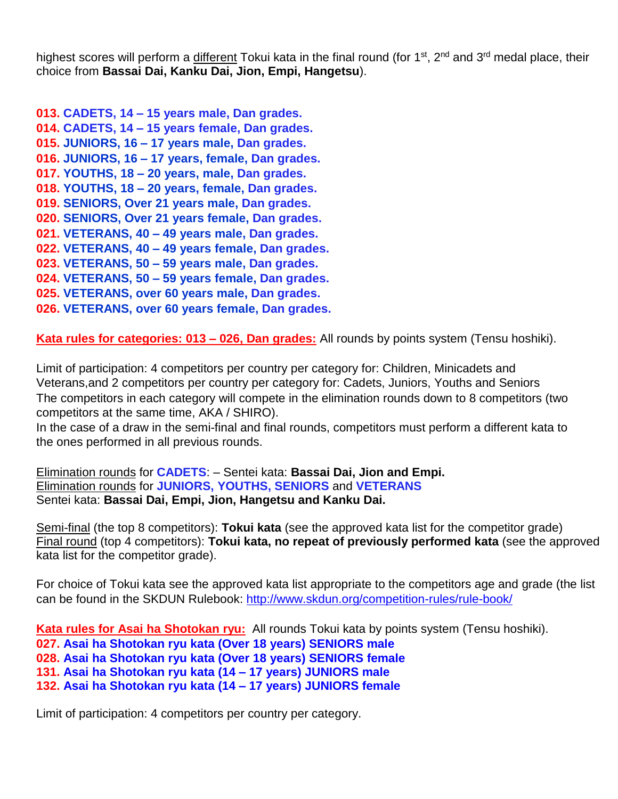highest scores will perform a different Tokui kata in the final round (for 1<sup>st</sup>, 2<sup>nd</sup> and 3<sup>rd</sup> medal place, their choice from **Bassai Dai, Kanku Dai, Jion, Empi, Hangetsu**).

**013. CADETS, 14 – 15 years male, Dan grades. 014. CADETS, 14 – 15 years female, Dan grades. 015. JUNIORS, 16 – 17 years male, Dan grades. 016. JUNIORS, 16 – 17 years, female, Dan grades. 017. YOUTHS, 18 – 20 years, male, Dan grades. 018. YOUTHS, 18 – 20 years, female, Dan grades. 019. SENIORS, Over 21 years male, Dan grades. 020. SENIORS, Over 21 years female, Dan grades. 021. VETERANS, 40 – 49 years male, Dan grades. 022. VETERANS, 40 – 49 years female, Dan grades. 023. VETERANS, 50 – 59 years male, Dan grades. 024. VETERANS, 50 – 59 years female, Dan grades. 025. VETERANS, over 60 years male, Dan grades. 026. VETERANS, over 60 years female, Dan grades.**

**Kata rules for categories: 013 – 026, Dan grades:** All rounds by points system (Tensu hoshiki).

Limit of participation: 4 competitors per country per category for: Children, Minicadets and Veterans,and 2 competitors per country per category for: Cadets, Juniors, Youths and Seniors The competitors in each category will compete in the elimination rounds down to 8 competitors (two competitors at the same time, AKA / SHIRO).

In the case of a draw in the semi-final and final rounds, competitors must perform a different kata to the ones performed in all previous rounds.

Elimination rounds for **CADETS**: – Sentei kata: **Bassai Dai, Jion and Empi.** Elimination rounds for **JUNIORS, YOUTHS, SENIORS** and **VETERANS** Sentei kata: **Bassai Dai, Empi, Jion, Hangetsu and Kanku Dai.**

Semi-final (the top 8 competitors): **Tokui kata** (see the approved kata list for the competitor grade) Final round (top 4 competitors): **Tokui kata, no repeat of previously performed kata** (see the approved kata list for the competitor grade).

For choice of Tokui kata see the approved kata list appropriate to the competitors age and grade (the list can be found in the SKDUN Rulebook: <http://www.skdun.org/competition-rules/rule-book/>

**Kata rules for Asai ha Shotokan ryu:** All rounds Tokui kata by points system (Tensu hoshiki).

**027. Asai ha Shotokan ryu kata (Over 18 years) SENIORS male**

**028. Asai ha Shotokan ryu kata (Over 18 years) SENIORS female**

**131. Asai ha Shotokan ryu kata (14 – 17 years) JUNIORS male**

**132. Asai ha Shotokan ryu kata (14 – 17 years) JUNIORS female**

Limit of participation: 4 competitors per country per category.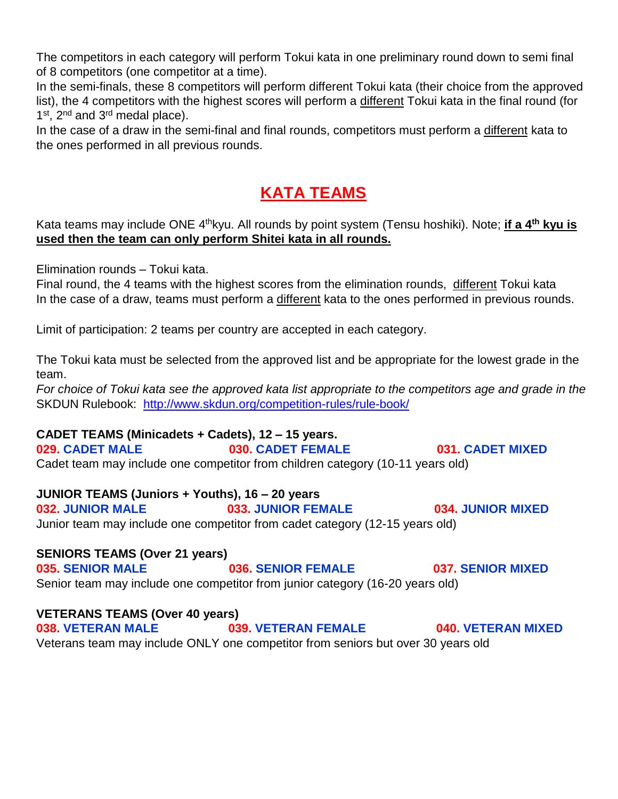The competitors in each category will perform Tokui kata in one preliminary round down to semi final of 8 competitors (one competitor at a time).

In the semi-finals, these 8 competitors will perform different Tokui kata (their choice from the approved list), the 4 competitors with the highest scores will perform a different Tokui kata in the final round (for 1<sup>st</sup>, 2<sup>nd</sup> and 3<sup>rd</sup> medal place).

In the case of a draw in the semi-final and final rounds, competitors must perform a different kata to the ones performed in all previous rounds.

# **KATA TEAMS**

Kata teams may include ONE 4<sup>th</sup>kyu. All rounds by point system (Tensu hoshiki). Note; if a 4<sup>th</sup> kyu is **used then the team can only perform Shitei kata in all rounds.**

Elimination rounds – Tokui kata.

Final round, the 4 teams with the highest scores from the elimination rounds, different Tokui kata In the case of a draw, teams must perform a different kata to the ones performed in previous rounds.

Limit of participation: 2 teams per country are accepted in each category.

The Tokui kata must be selected from the approved list and be appropriate for the lowest grade in the team.

For choice of Tokui kata see the approved kata list appropriate to the competitors age and grade in the SKDUN Rulebook: <http://www.skdun.org/competition-rules/rule-book/>

### **CADET TEAMS (Minicadets + Cadets), 12 – 15 years.**

**029. CADET MALE 030. CADET FEMALE 031. CADET MIXED** Cadet team may include one competitor from children category (10-11 years old)

### **JUNIOR TEAMS (Juniors + Youths), 16 – 20 years**

**032. JUNIOR MALE 033. JUNIOR FEMALE 034. JUNIOR MIXED** Junior team may include one competitor from cadet category (12-15 years old)

### **SENIORS TEAMS (Over 21 years)**

**035. SENIOR MALE 036. SENIOR FEMALE 037. SENIOR MIXED** Senior team may include one competitor from junior category (16-20 years old)

### **VETERANS TEAMS (Over 40 years)**

**038. VETERAN MALE 039. VETERAN FEMALE 040. VETERAN MIXED** Veterans team may include ONLY one competitor from seniors but over 30 years old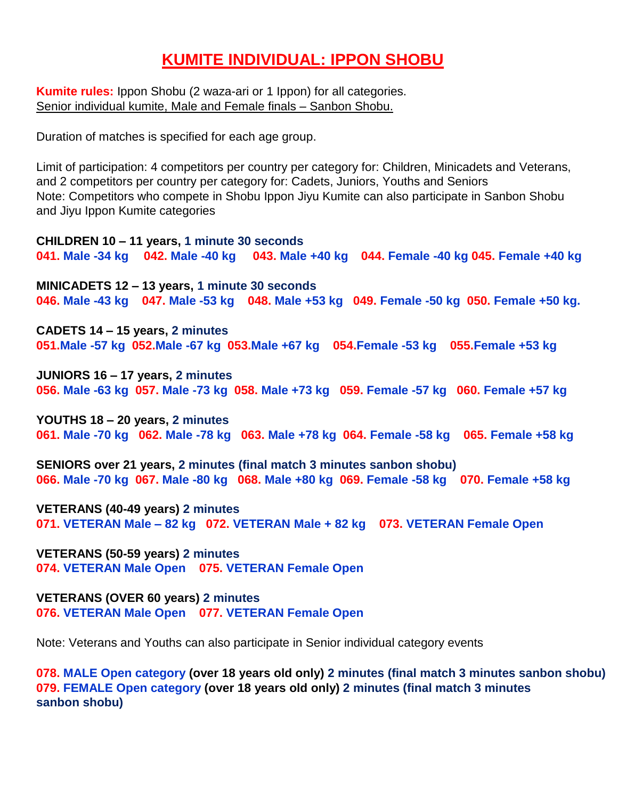# **KUMITE INDIVIDUAL: IPPON SHOBU**

**Kumite rules:** Ippon Shobu (2 waza-ari or 1 Ippon) for all categories. Senior individual kumite, Male and Female finals – Sanbon Shobu.

Duration of matches is specified for each age group.

Limit of participation: 4 competitors per country per category for: Children, Minicadets and Veterans, and 2 competitors per country per category for: Cadets, Juniors, Youths and Seniors Note: Competitors who compete in Shobu Ippon Jiyu Kumite can also participate in Sanbon Shobu and Jiyu Ippon Kumite categories

**CHILDREN 10 – 11 years, 1 minute 30 seconds** 041. Male -34 kg 042. Male -40 kg 043. Male +40 kg 044. Female -40 kg 045. Female +40 kg

**MINICADETS 12 – 13 years, 1 minute 30 seconds 046. Male -43 kg 047. Male -53 kg 048. Male +53 kg 049. Female -50 kg 050. Female +50 kg.** 

**CADETS 14 – 15 years, 2 minutes 051.Male -57 kg 052.Male -67 kg 053.Male +67 kg 054.Female -53 kg 055.Female +53 kg**

**JUNIORS 16 – 17 years, 2 minutes 056. Male -63 kg 057. Male -73 kg 058. Male +73 kg 059. Female -57 kg 060. Female +57 kg**

**YOUTHS 18 – 20 years, 2 minutes 061. Male -70 kg 062. Male -78 kg 063. Male +78 kg 064. Female -58 kg 065. Female +58 kg**

**SENIORS over 21 years, 2 minutes (final match 3 minutes sanbon shobu) 066. Male -70 kg 067. Male -80 kg 068. Male +80 kg 069. Female -58 kg 070. Female +58 kg**

**VETERANS (40-49 years) 2 minutes 071. VETERAN Male – 82 kg 072. VETERAN Male + 82 kg 073. VETERAN Female Open**

**VETERANS (50-59 years) 2 minutes 074. VETERAN Male Open 075. VETERAN Female Open**

**VETERANS (OVER 60 years) 2 minutes 076. VETERAN Male Open 077. VETERAN Female Open**

Note: Veterans and Youths can also participate in Senior individual category events

**078. MALE Open category (over 18 years old only) 2 minutes (final match 3 minutes sanbon shobu) 079. FEMALE Open category (over 18 years old only) 2 minutes (final match 3 minutes sanbon shobu)**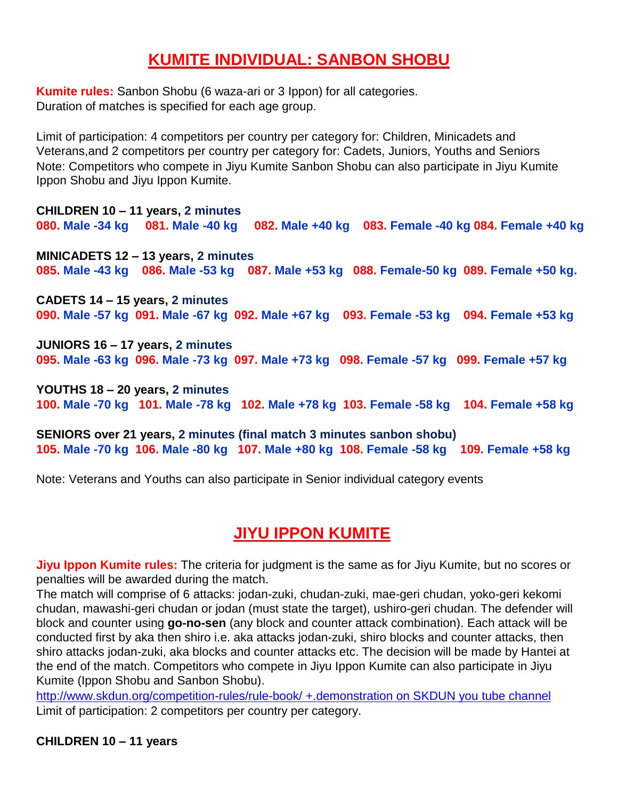# **KUMITE INDIVIDUAL: SANBON SHOBU**

**Kumite rules:** Sanbon Shobu (6 waza-ari or 3 Ippon) for all categories. Duration of matches is specified for each age group.

Limit of participation: 4 competitors per country per category for: Children, Minicadets and Veterans,and 2 competitors per country per category for: Cadets, Juniors, Youths and Seniors Note: Competitors who compete in Jiyu Kumite Sanbon Shobu can also participate in Jiyu Kumite Ippon Shobu and Jiyu Ippon Kumite.

**CHILDREN 10 – 11 years, 2 minutes** 080. Male -34 kg 081. Male -40 kg 082. Male +40 kg 083. Female -40 kg 084. Female +40 kg **MINICADETS 12 – 13 years, 2 minutes 085. Male -43 kg 086. Male -53 kg 087. Male +53 kg 088. Female-50 kg 089. Female +50 kg.** 

**CADETS 14 – 15 years, 2 minutes 090. Male -57 kg 091. Male -67 kg 092. Male +67 kg 093. Female -53 kg 094. Female +53 kg**

**JUNIORS 16 – 17 years, 2 minutes 095. Male -63 kg 096. Male -73 kg 097. Male +73 kg 098. Female -57 kg 099. Female +57 kg**

**YOUTHS 18 – 20 years, 2 minutes 100. Male -70 kg 101. Male -78 kg 102. Male +78 kg 103. Female -58 kg 104. Female +58 kg**

**SENIORS over 21 years, 2 minutes (final match 3 minutes sanbon shobu) 105. Male -70 kg 106. Male -80 kg 107. Male +80 kg 108. Female -58 kg 109. Female +58 kg**

Note: Veterans and Youths can also participate in Senior individual category events

### **JIYU IPPON KUMITE**

**Jiyu Ippon Kumite rules:** The criteria for judgment is the same as for Jiyu Kumite, but no scores or penalties will be awarded during the match.

The match will comprise of 6 attacks: jodan-zuki, chudan-zuki, mae-geri chudan, yoko-geri kekomi chudan, mawashi-geri chudan or jodan (must state the target), ushiro-geri chudan. The defender will block and counter using **go-no-sen** (any block and counter attack combination). Each attack will be conducted first by aka then shiro i.e. aka attacks jodan-zuki, shiro blocks and counter attacks, then shiro attacks jodan-zuki, aka blocks and counter attacks etc. The decision will be made by Hantei at the end of the match. Competitors who compete in Jiyu Ippon Kumite can also participate in Jiyu Kumite (Ippon Shobu and Sanbon Shobu).

<http://www.skdun.org/competition-rules/rule-book/> +.demonstration on SKDUN you tube channel Limit of participation: 2 competitors per country per category.

**CHILDREN 10 – 11 years**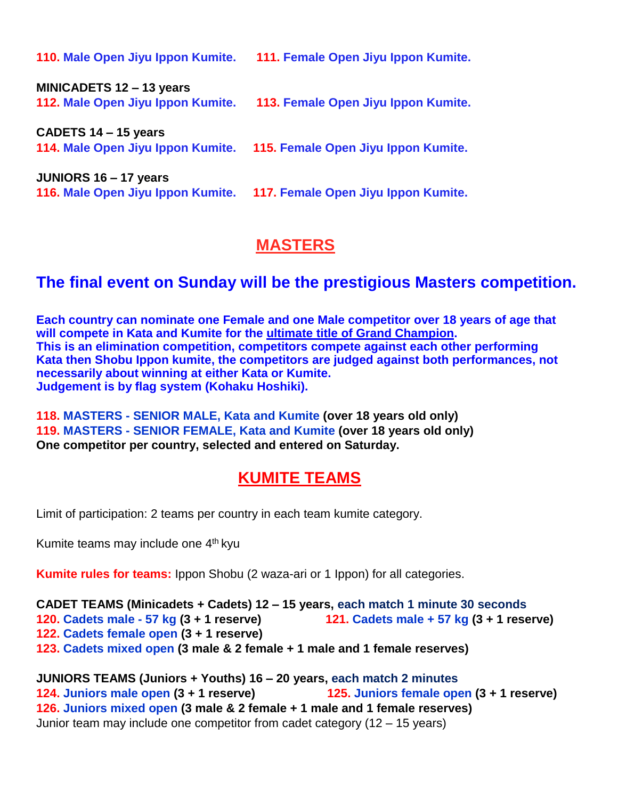|  |  |  |  | 110. Male Open Jiyu Ippon Kumite. |
|--|--|--|--|-----------------------------------|
|  |  |  |  |                                   |

**110. Male Open Jiyu Ippon Kumite. 111. Female Open Jiyu Ippon Kumite.**

**MINICADETS 12 – 13 years**

**112. Male Open Jiyu Ippon Kumite. 113. Female Open Jiyu Ippon Kumite.**

**CADETS 14 – 15 years 114. Male Open Jiyu Ippon Kumite. 115. Female Open Jiyu Ippon Kumite.**

**JUNIORS 16 – 17 years**

**116. Male Open Jiyu Ippon Kumite. 117. Female Open Jiyu Ippon Kumite.**

# **MASTERS**

### **The final event on Sunday will be the prestigious Masters competition.**

**Each country can nominate one Female and one Male competitor over 18 years of age that will compete in Kata and Kumite for the ultimate title of Grand Champion. This is an elimination competition, competitors compete against each other performing Kata then Shobu Ippon kumite, the competitors are judged against both performances, not necessarily about winning at either Kata or Kumite. Judgement is by flag system (Kohaku Hoshiki).**

**118. MASTERS - SENIOR MALE, Kata and Kumite (over 18 years old only) 119. MASTERS - SENIOR FEMALE, Kata and Kumite (over 18 years old only) One competitor per country, selected and entered on Saturday.**

# **KUMITE TEAMS**

Limit of participation: 2 teams per country in each team kumite category.

Kumite teams may include one 4<sup>th</sup> kyu

**Kumite rules for teams:** Ippon Shobu (2 waza-ari or 1 Ippon) for all categories.

**CADET TEAMS (Minicadets + Cadets) 12 – 15 years, each match 1 minute 30 seconds 120. Cadets male - 57 kg (3 + 1 reserve) 121. Cadets male + 57 kg (3 + 1 reserve) 122. Cadets female open (3 + 1 reserve) 123. Cadets mixed open (3 male & 2 female + 1 male and 1 female reserves)**

**JUNIORS TEAMS (Juniors + Youths) 16 – 20 years, each match 2 minutes 124. Juniors male open (3 + 1 reserve) 125. Juniors female open (3 + 1 reserve) 126. Juniors mixed open (3 male & 2 female + 1 male and 1 female reserves)** Junior team may include one competitor from cadet category (12 – 15 years)